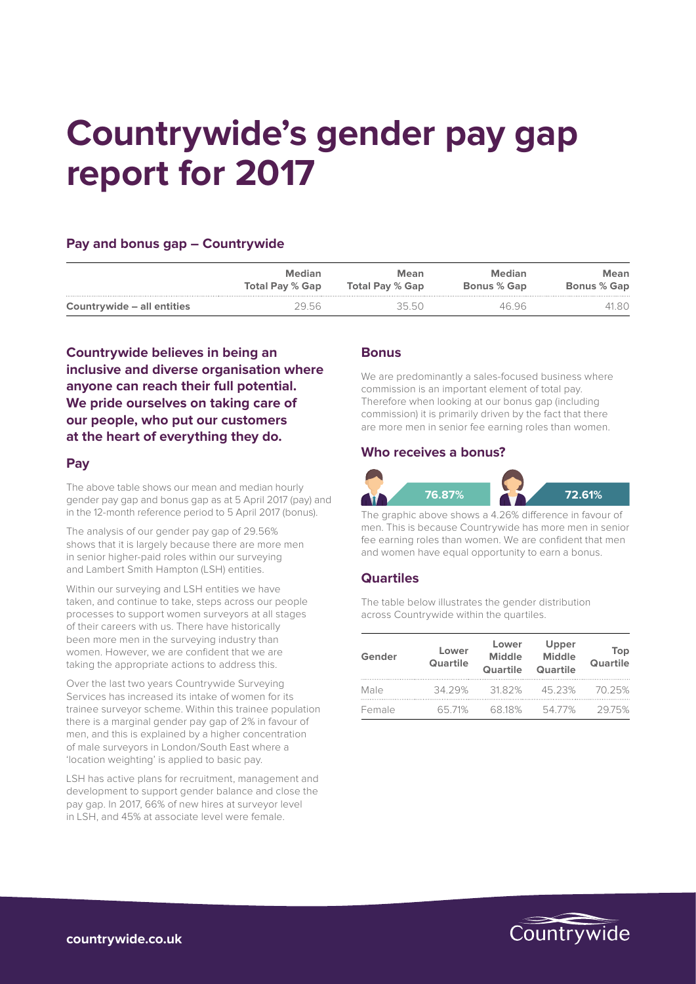# **Countrywide's gender pay gap report for 2017**

## **Pay and bonus gap – Countrywide**

|                            | Median                 | <b>Mean</b>     | Median             | Mean               |
|----------------------------|------------------------|-----------------|--------------------|--------------------|
|                            | <b>Total Pay % Gap</b> | Total Pay % Gap | <b>Bonus % Gap</b> | <b>Bonus % Gap</b> |
| Countrywide – all entities | 29.56                  | 3550            | 46.96              | 41.80              |

**Countrywide believes in being an inclusive and diverse organisation where anyone can reach their full potential. We pride ourselves on taking care of our people, who put our customers at the heart of everything they do.**

## **Pay**

The above table shows our mean and median hourly gender pay gap and bonus gap as at 5 April 2017 (pay) and in the 12-month reference period to 5 April 2017 (bonus).

The analysis of our gender pay gap of 29.56% shows that it is largely because there are more men in senior higher-paid roles within our surveying and Lambert Smith Hampton (LSH) entities.

Within our surveying and LSH entities we have taken, and continue to take, steps across our people processes to support women surveyors at all stages of their careers with us. There have historically been more men in the surveying industry than women. However, we are confident that we are taking the appropriate actions to address this.

Over the last two years Countrywide Surveying Services has increased its intake of women for its trainee surveyor scheme. Within this trainee population there is a marginal gender pay gap of 2% in favour of men, and this is explained by a higher concentration of male surveyors in London/South East where a 'location weighting' is applied to basic pay.

LSH has active plans for recruitment, management and development to support gender balance and close the pay gap. In 2017, 66% of new hires at surveyor level in LSH, and 45% at associate level were female.

## **Bonus**

We are predominantly a sales-focused business where commission is an important element of total pay. Therefore when looking at our bonus gap (including commission) it is primarily driven by the fact that there are more men in senior fee earning roles than women.

## **Who receives a bonus?**



The graphic above shows a 4.26% difference in favour of men. This is because Countrywide has more men in senior fee earning roles than women. We are confident that men and women have equal opportunity to earn a bonus.

## **Quartiles**

The table below illustrates the gender distribution across Countrywide within the quartiles.

| Gender | Lower<br><b>Quartile</b> | Lower<br>Middle<br>Quartile | Upper<br><b>Middle</b><br>Quartile | Top<br><b>Quartile</b> |
|--------|--------------------------|-----------------------------|------------------------------------|------------------------|
| Male   | 34 29%                   | 3182%                       | 45 23%                             | 70.25%                 |
| Female | 65 71%                   | 68 18%                      | 5477%                              | 2975%                  |